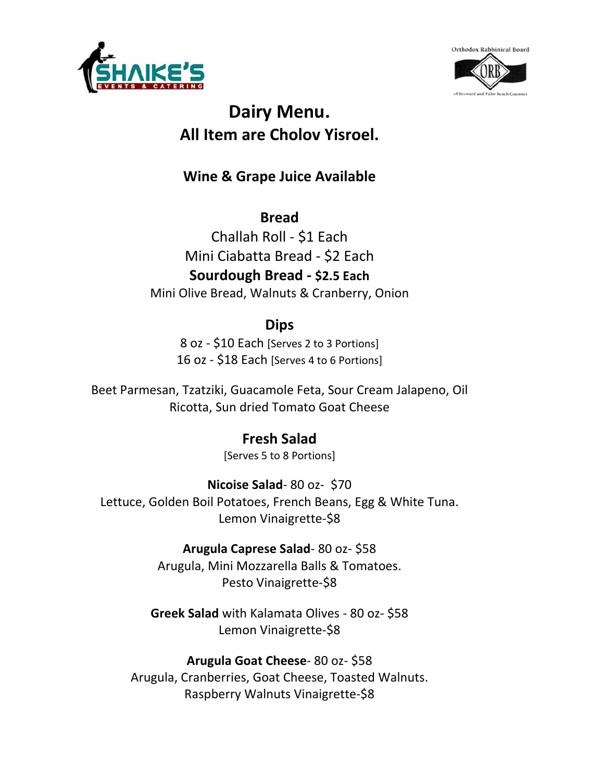



# **Dairy Menu. All Item are Cholov Yisroel.**

**Wine & Grape Juice Available** 

**Bread**  Challah Roll ‐ \$1 Each Mini Ciabatta Bread ‐ \$2 Each **Sourdough Bread ‐ \$2.5 Each** Mini Olive Bread, Walnuts & Cranberry, Onion

## **Dips**

8 oz ‐ \$10 Each [Serves 2 to 3 Portions] 16 oz ‐ \$18 Each [Serves 4 to 6 Portions]

Beet Parmesan, Tzatziki, Guacamole Feta, Sour Cream Jalapeno, Oil Ricotta, Sun dried Tomato Goat Cheese

## **Fresh Salad**

[Serves 5 to 8 Portions]

**Nicoise Salad**‐ 80 oz‐ \$70 Lettuce, Golden Boil Potatoes, French Beans, Egg & White Tuna. Lemon Vinaigrette-\$8

> **Arugula Caprese Salad**‐ 80 oz‐ \$58 Arugula, Mini Mozzarella Balls & Tomatoes. Pesto Vinaigrette‐\$8

**Greek Salad** with Kalamata Olives ‐ 80 oz‐ \$58 Lemon Vinaigrette-\$8

**Arugula Goat Cheese**‐ 80 oz‐ \$58 Arugula, Cranberries, Goat Cheese, Toasted Walnuts. Raspberry Walnuts Vinaigrette‐\$8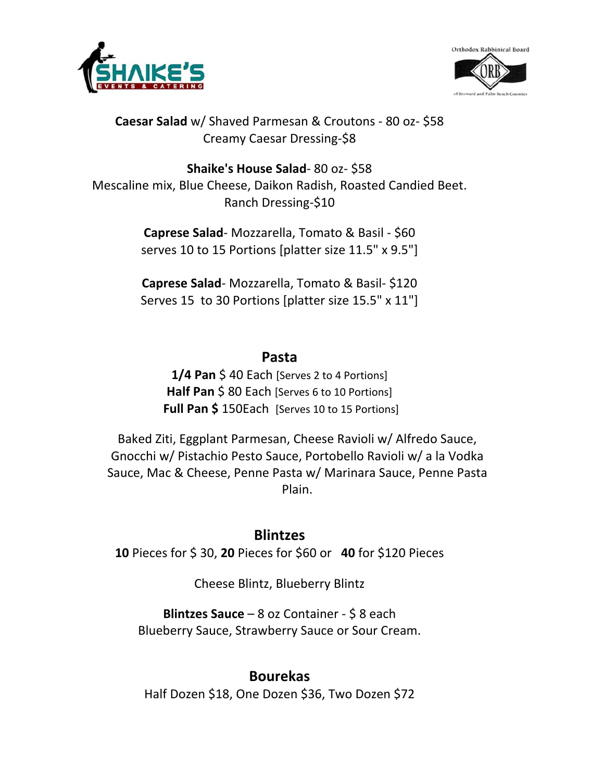



**Caesar Salad** w/ Shaved Parmesan & Croutons ‐ 80 oz‐ \$58 Creamy Caesar Dressing‐\$8

**Shaike's House Salad**‐ 80 oz‐ \$58 Mescaline mix, Blue Cheese, Daikon Radish, Roasted Candied Beet. Ranch Dressing‐\$10

> **Caprese Salad**‐ Mozzarella, Tomato & Basil ‐ \$60 serves 10 to 15 Portions [platter size 11.5" x 9.5"]

> **Caprese Salad**‐ Mozzarella, Tomato & Basil‐ \$120 Serves 15 to 30 Portions [platter size 15.5" x 11"]

#### **Pasta**

**1/4 Pan** \$ 40 Each [Serves 2 to 4 Portions] Half Pan \$80 Each [Serves 6 to 10 Portions] **Full Pan \$** 150Each [Serves 10 to 15 Portions]

Baked Ziti, Eggplant Parmesan, Cheese Ravioli w/ Alfredo Sauce, Gnocchi w/ Pistachio Pesto Sauce, Portobello Ravioli w/ a la Vodka Sauce, Mac & Cheese, Penne Pasta w/ Marinara Sauce, Penne Pasta Plain.

#### **Blintzes**

**10** Pieces for \$ 30, **20** Pieces for \$60 or **40** for \$120 Pieces

Cheese Blintz, Blueberry Blintz

**Blintzes Sauce** – 8 oz Container ‐ \$ 8 each Blueberry Sauce, Strawberry Sauce or Sour Cream.

#### **Bourekas**

Half Dozen \$18, One Dozen \$36, Two Dozen \$72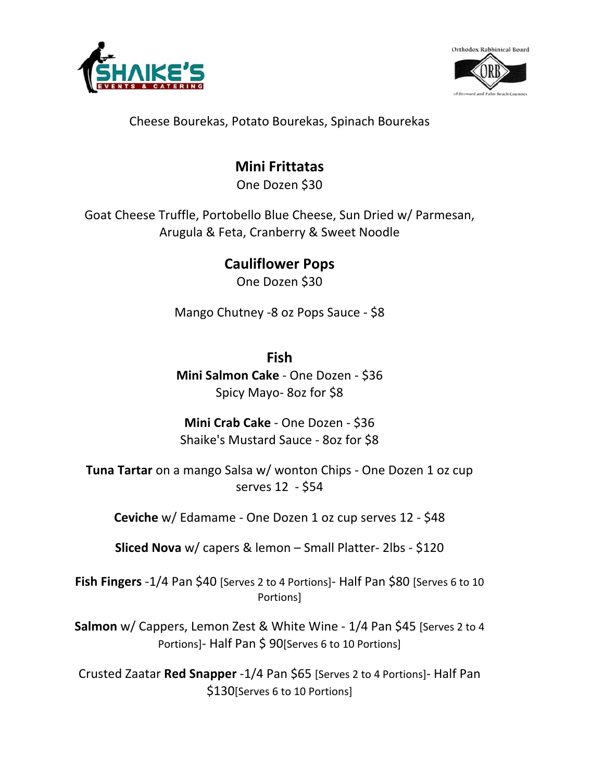



Cheese Bourekas, Potato Bourekas, Spinach Bourekas

## **Mini Frittatas**

One Dozen \$30

Goat Cheese Truffle, Portobello Blue Cheese, Sun Dried w/ Parmesan, Arugula & Feta, Cranberry & Sweet Noodle

> **Cauliflower Pops** One Dozen \$30

Mango Chutney ‐8 oz Pops Sauce ‐ \$8

#### **Fish**

**Mini Salmon Cake** ‐ One Dozen ‐ \$36 Spicy Mayo‐ 8oz for \$8

**Mini Crab Cake** ‐ One Dozen ‐ \$36 Shaike's Mustard Sauce ‐ 8oz for \$8

**Tuna Tartar** on a mango Salsa w/ wonton Chips ‐ One Dozen 1 oz cup serves 12 ‐ \$54

**Ceviche** w/ Edamame ‐ One Dozen 1 oz cup serves 12 ‐ \$48

**Sliced Nova** w/ capers & lemon – Small Platter‐ 2lbs ‐ \$120

Fish Fingers -1/4 Pan \$40 [Serves 2 to 4 Portions] - Half Pan \$80 [Serves 6 to 10 Portions]

**Salmon** w/ Cappers, Lemon Zest & White Wine ‐ 1/4 Pan \$45 [Serves 2 to 4 Portions]‐ Half Pan \$ 90[Serves 6 to 10 Portions]

Crusted Zaatar **Red Snapper** ‐1/4 Pan \$65 [Serves 2 to 4 Portions]‐ Half Pan \$130[Serves 6 to 10 Portions]